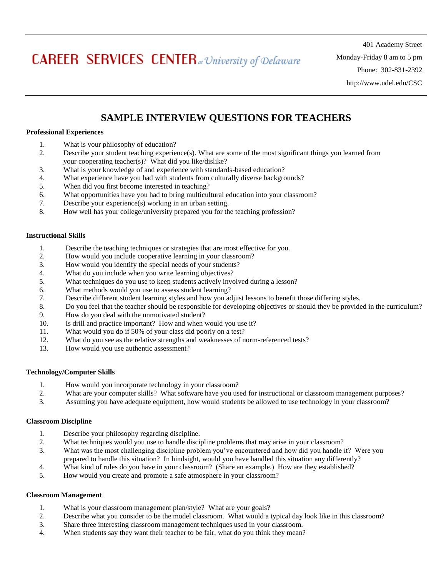# **CAREER SERVICES CENTER** at University of Delaware

401 Academy Street Monday-Friday 8 am to 5 pm Phone: 302-831-2392 http://www.udel.edu/CSC

# **SAMPLE INTERVIEW QUESTIONS FOR TEACHERS**

## **Professional Experiences**

- 1. What is your philosophy of education?
- 2. Describe your student teaching experience(s). What are some of the most significant things you learned from your cooperating teacher(s)? What did you like/dislike?
- 3. What is your knowledge of and experience with standards-based education?
- 4. What experience have you had with students from culturally diverse backgrounds?
- 5. When did you first become interested in teaching?
- 6. What opportunities have you had to bring multicultural education into your classroom?
- 7. Describe your experience(s) working in an urban setting.
- 8. How well has your college/university prepared you for the teaching profession?

#### **Instructional Skills**

- 1. Describe the teaching techniques or strategies that are most effective for you.
- 2. How would you include cooperative learning in your classroom?
- 3. How would you identify the special needs of your students?
- 4. What do you include when you write learning objectives?
- 5. What techniques do you use to keep students actively involved during a lesson?
- 6. What methods would you use to assess student learning?
- 7. Describe different student learning styles and how you adjust lessons to benefit those differing styles.
- 8. Do you feel that the teacher should be responsible for developing objectives or should they be provided in the curriculum?
- 9. How do you deal with the unmotivated student?
- 10. Is drill and practice important? How and when would you use it?
- 11. What would you do if 50% of your class did poorly on a test?
- 12. What do you see as the relative strengths and weaknesses of norm-referenced tests?
- 13. How would you use authentic assessment?

#### **Technology/Computer Skills**

- 1. How would you incorporate technology in your classroom?
- 2. What are your computer skills? What software have you used for instructional or classroom management purposes?
- 3. Assuming you have adequate equipment, how would students be allowed to use technology in your classroom?

#### **Classroom Discipline**

- 1. Describe your philosophy regarding discipline.
- 2. What techniques would you use to handle discipline problems that may arise in your classroom?
- 3. What was the most challenging discipline problem you've encountered and how did you handle it? Were you prepared to handle this situation? In hindsight, would you have handled this situation any differently?
- 4. What kind of rules do you have in your classroom? (Share an example.) How are they established?
- 5. How would you create and promote a safe atmosphere in your classroom?

#### **Classroom Management**

- 1. What is your classroom management plan/style? What are your goals?
- 2. Describe what you consider to be the model classroom. What would a typical day look like in this classroom?
- 3. Share three interesting classroom management techniques used in your classroom.
- 4. When students say they want their teacher to be fair, what do you think they mean?